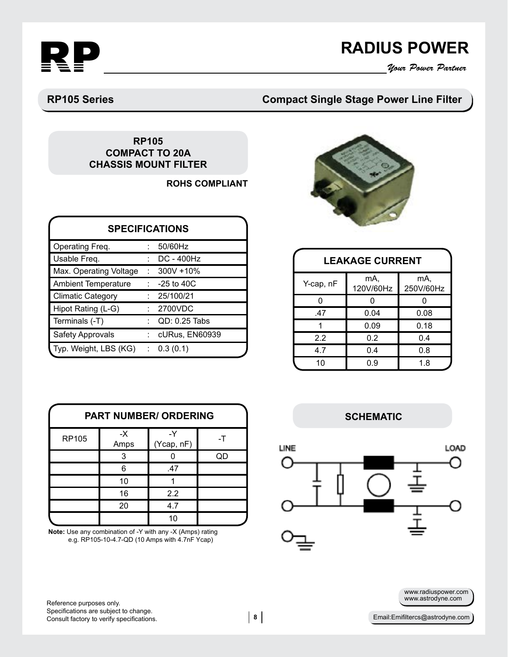

# **RADIUS POWER**<br>*Your Power Partner*

#### **RP105 Series**

### **Compact Single Stage Power Line Filter**

#### **RP105 COMPACT TO 20A CHASSIS MOUNT FILTER**

**ROHS COMPLIANT** 

| <b>SPECIFICATIONS</b>      |    |                   |  |  |  |  |  |
|----------------------------|----|-------------------|--|--|--|--|--|
| Operating Freq.            |    | 50/60Hz           |  |  |  |  |  |
| Usable Freq.               |    | <b>DC - 400Hz</b> |  |  |  |  |  |
| Max. Operating Voltage     | t. | 300V +10%         |  |  |  |  |  |
| <b>Ambient Temperature</b> |    | $-25$ to $40C$    |  |  |  |  |  |
| <b>Climatic Category</b>   |    | 25/100/21         |  |  |  |  |  |
| Hipot Rating (L-G)         |    | 2700VDC           |  |  |  |  |  |
| Terminals (-T)             |    | QD: 0.25 Tabs     |  |  |  |  |  |
| Safety Approvals           | ÷. | cURus, EN60939    |  |  |  |  |  |
| Typ. Weight, LBS (KG)      | ÷  | 0.3(0.1)          |  |  |  |  |  |

| <b>PART NUMBER/ ORDERING</b> |              |                  |  |  |  |  |
|------------------------------|--------------|------------------|--|--|--|--|
| <b>RP105</b>                 | $-X$<br>Amps | -Y<br>(Ycap, nF) |  |  |  |  |
|                              | 3            |                  |  |  |  |  |
|                              | 6            | .47              |  |  |  |  |
|                              | 10           |                  |  |  |  |  |
|                              | 16           | 2.2              |  |  |  |  |
|                              | 20           | 4.7              |  |  |  |  |
|                              |              | 10               |  |  |  |  |

**Note:** Use any combination of -Y with any -X (Amps) rating e.g. RP105-10-4.7-QD (10 Amps with 4.7nF Ycap)



|           | <b>LEAKAGE CURRENT</b> |                  |  |  |  |  |
|-----------|------------------------|------------------|--|--|--|--|
| Y-cap, nF | mA,<br>120V/60Hz       | mA,<br>250V/60Hz |  |  |  |  |
|           |                        |                  |  |  |  |  |

| ັບ  | ັ    | ັບ   |
|-----|------|------|
| .47 | 0.04 | 0.08 |
|     | 0.09 | 0.18 |
| 2.2 | 0.2  | 0.4  |
| 4.7 | 0.4  | 0.8  |
| 10  | 0.9  | 1.8  |

#### **SCHEMATIC**



www.radiuspower.com www.astrodyne.com

Reference purposes only. Specifications are subject to change. Consult factory to verify specifications.

**8**